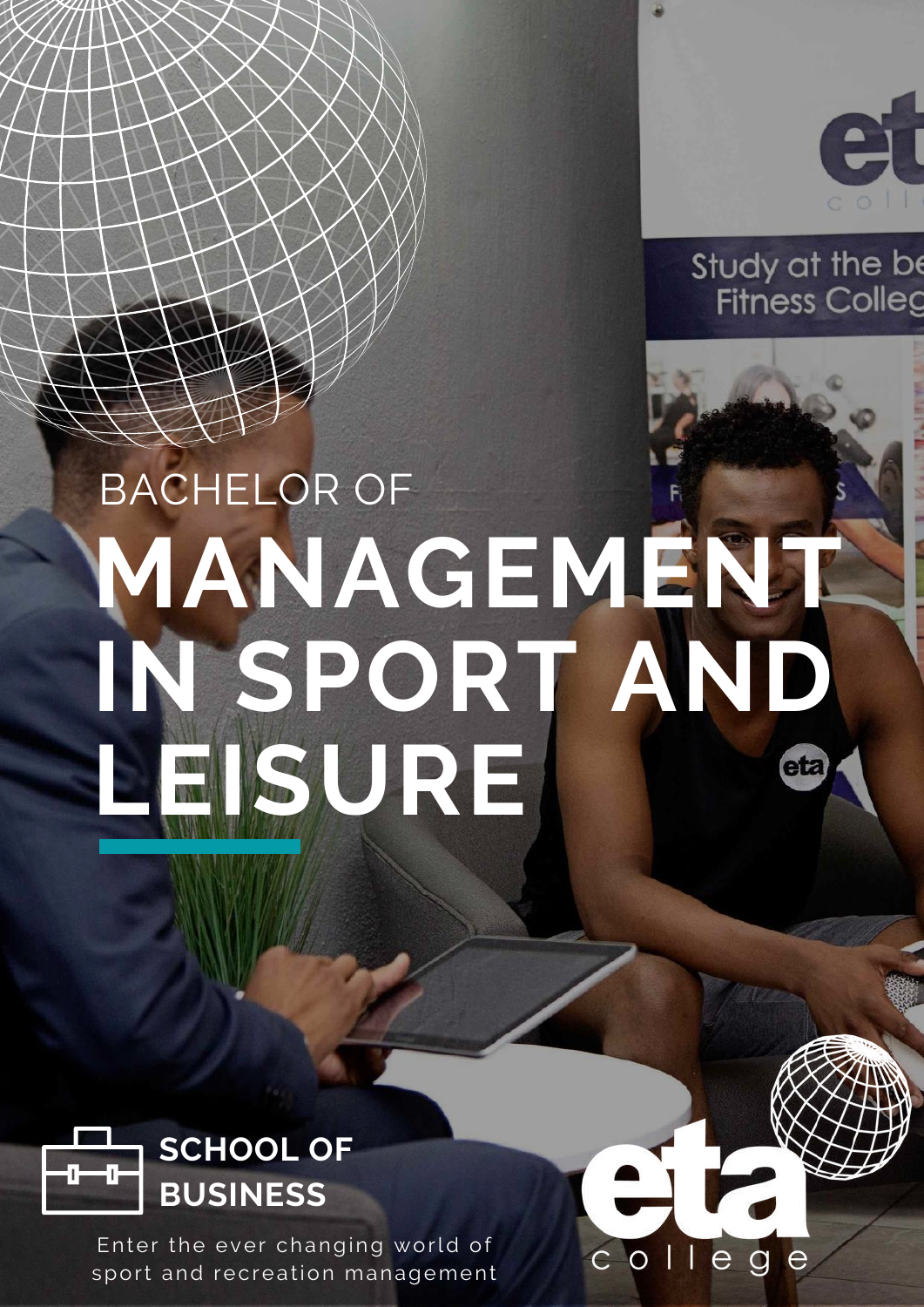

Study at the be **Fitness Colleg** 

# BACHELOR OF **[MANAGEMENT](https://www.etacollege.com/sports-management-courses/bachelor-of-sport-and-leisure-management/) IN SPORT AND LEISURE** eta

 $CO$  $11$ 

 $\overline{e}$ 

 $\alpha$ 



Enter the ever changing world of sport and recreation management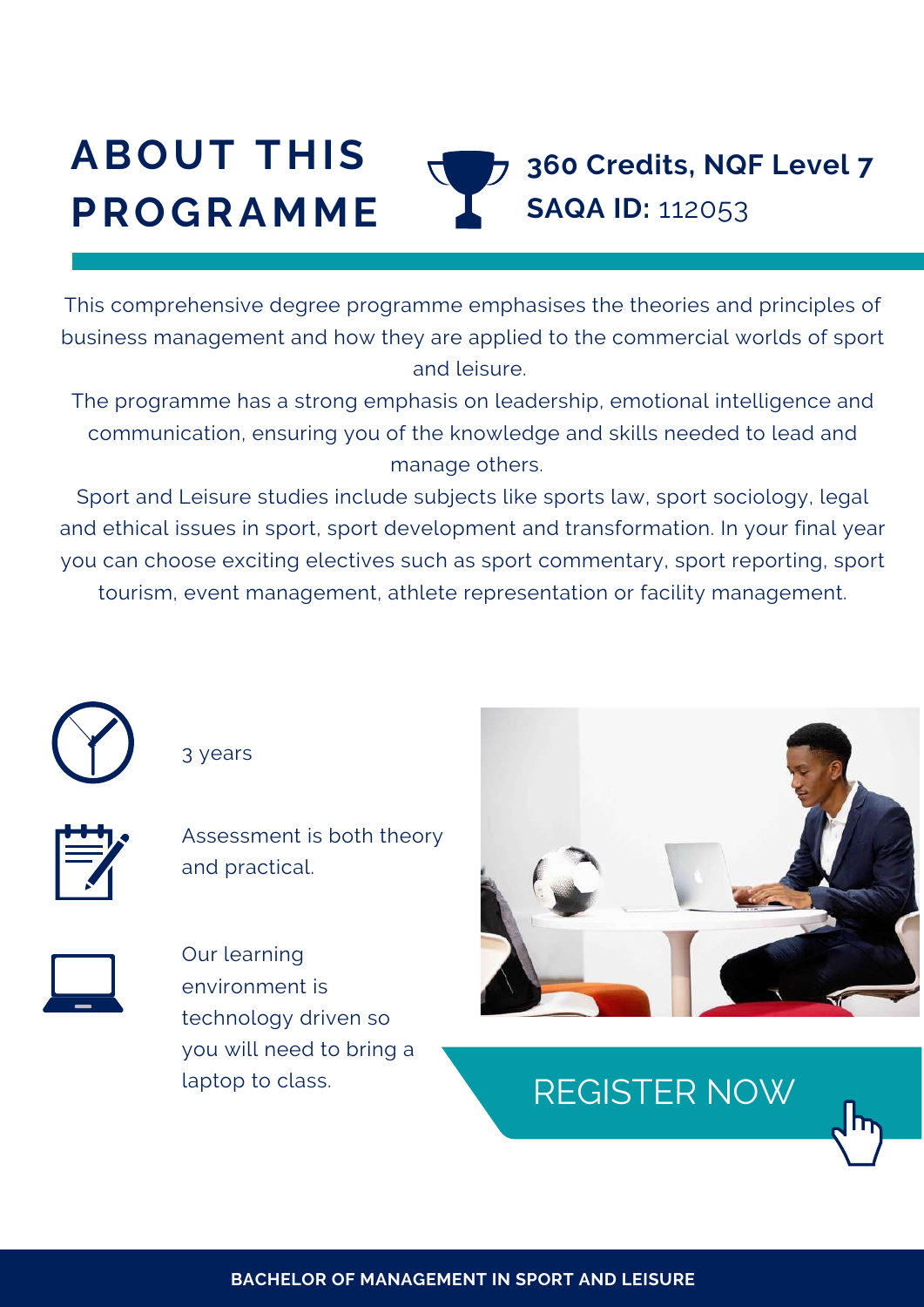#### **ABOUT THIS PROGRAMME 360 Credits, NQF Level 7 SAQA ID:** 112053

This comprehensive degree programme emphasises the theories and principles of business management and how they are applied to the commercial worlds of sport and leisure.

The programme has a strong emphasis on leadership, emotional intelligence and communication, ensuring you of the knowledge and skills needed to lead and manage others.

Sport and Leisure studies include subjects like sports law, sport sociology, legal and ethical issues in sport, sport development and transformation. In your final year you can choose exciting electives such as sport commentary, sport reporting, sport tourism, event management, athlete representation or facility management.

**BACHELOR OF MANAGEMENT IN SPORT AND LEISURE**



3 years



Assessment is both theory and practical.



Our learning environment is technology driven so you will need to bring a laptop to class.



[REGISTER](https://www.etacollege.com/admissions/online-applications/) NOW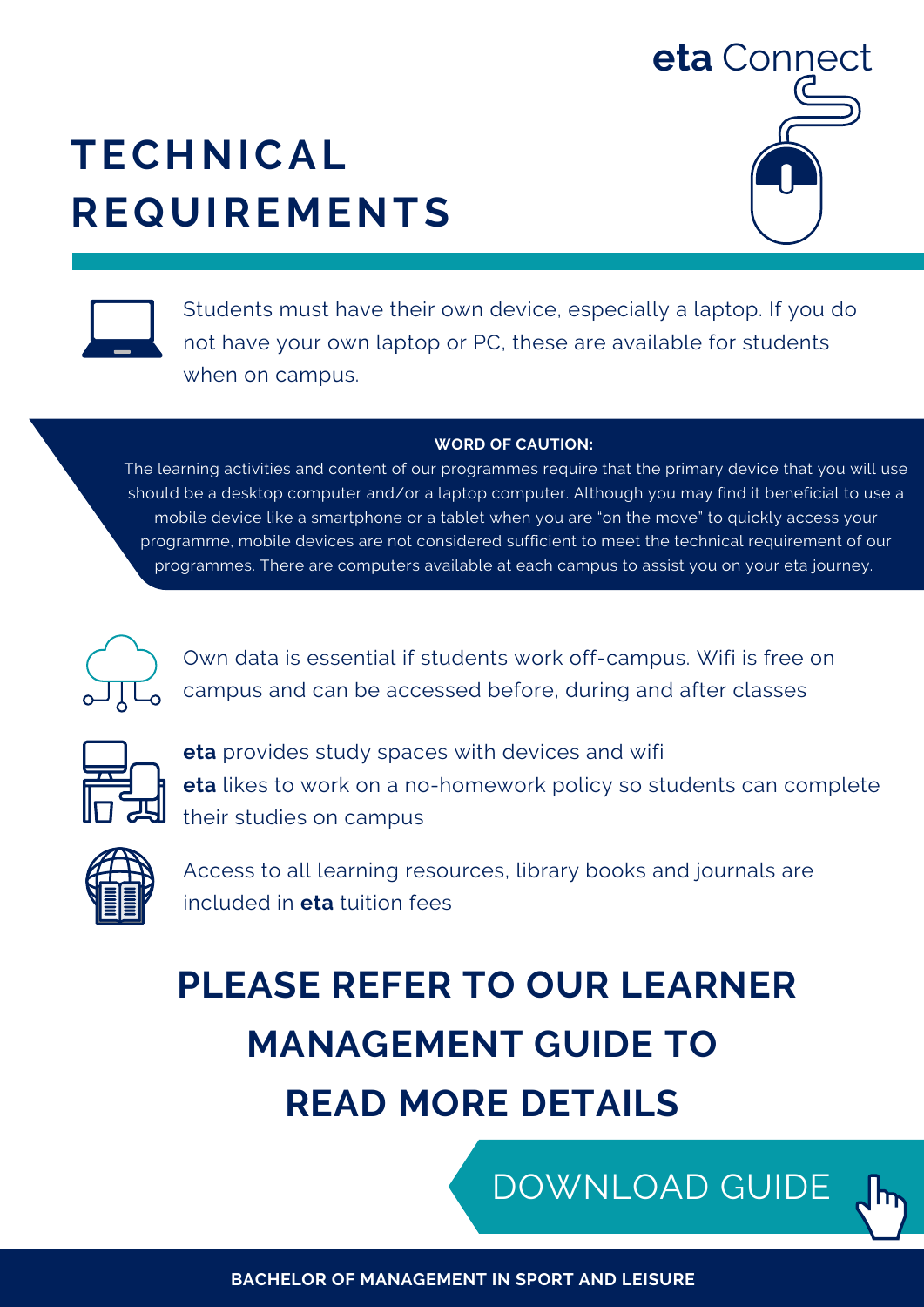## **TECHNICAL REQUIREMENTS**





Students must have their own device, especially a laptop. If you do not have your own laptop or PC, these are available for students when on campus.

#### **WORD OF CAUTION:**

The learning activities and content of our programmes require that the primary device that you will use should be a desktop computer and/or a laptop computer. Although you may find it beneficial to use a mobile device like a smartphone or a tablet when you are "on the move" to quickly access your programme, mobile devices are not considered sufficient to meet the technical requirement of our [programmes.](https://www.etacollege.com/admissions/online-applications/) There are computers available at each campus to assist you on your eta journey.



Own data is essential if students work off-campus. Wifi is free on campus and can be accessed before, during and after classes



**eta** provides study spaces with devices and wifi **eta** likes to work on a no-homework policy so students can complete their studies on campus



Access to all learning resources, library books and journals are included in **eta** tuition fees

# **PLEASE REFER TO OUR LEARNER MANAGEMENT GUIDE TO READ MORE DETAILS**

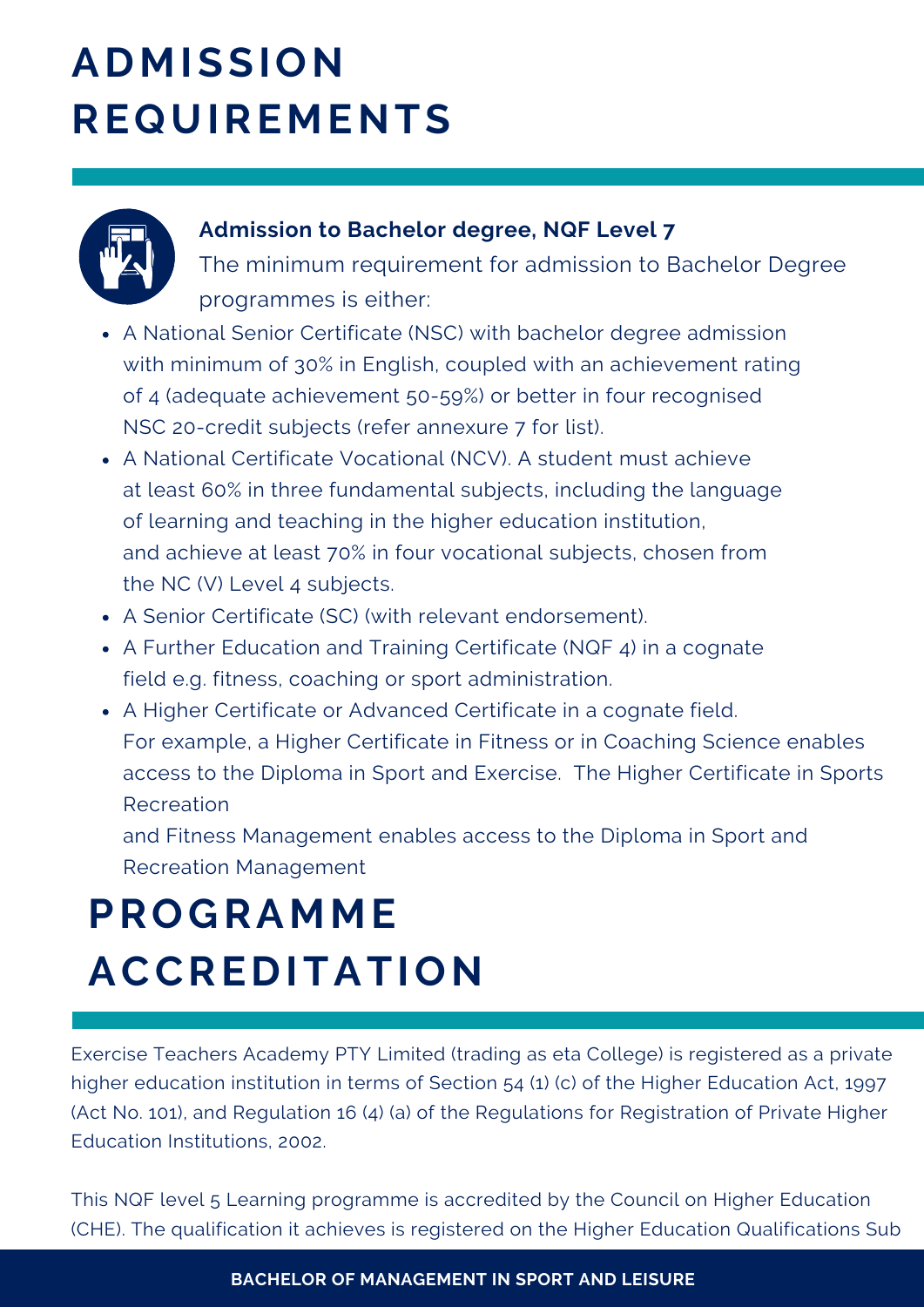### **ADMISSION REQUIREMENTS**



#### **Admission to Bachelor degree, NQF Level 7**

The minimum requirement for admission to Bachelor Degree programmes is either:

- A National Senior Certificate (NSC) with bachelor degree admission with minimum of 30% in English, coupled with an achievement rating of 4 (adequate achievement 50-59%) or better in four recognised NSC 20-credit subjects (refer annexure 7 for list).
- A National Certificate Vocational (NCV). A student must achieve at least 60% in three fundamental subjects, including the language of learning and teaching in the higher education institution, and achieve at least 70% in four vocational subjects, chosen from the NC (V) Level 4 subjects.
- A Senior Certificate (SC) (with relevant endorsement).
- A Further Education and Training Certificate (NQF 4) in a cognate field e.g. fitness, coaching or sport administration.
- A Higher Certificate or Advanced Certificate in a cognate field. For example, a Higher Certificate in Fitness or in Coaching Science enables access to the Diploma in Sport and Exercise. The Higher Certificate in Sports Recreation

and Fitness Management enables access to the Diploma in Sport and Recreation Management

## **PROGRAMME ACCREDITATION**

Exercise Teachers Academy PTY Limited (trading as eta College) is registered as a private higher education institution in terms of Section 54 (1) (c) of the Higher Education Act, 1997 (Act No. 101), and Regulation 16 (4) (a) of the Regulations for Registration of Private Higher Education Institutions, 2002.

This NQF level 5 Learning programme is accredited by the Council on Higher Education (CHE). The qualification it achieves is registered on the Higher Education Qualifications Sub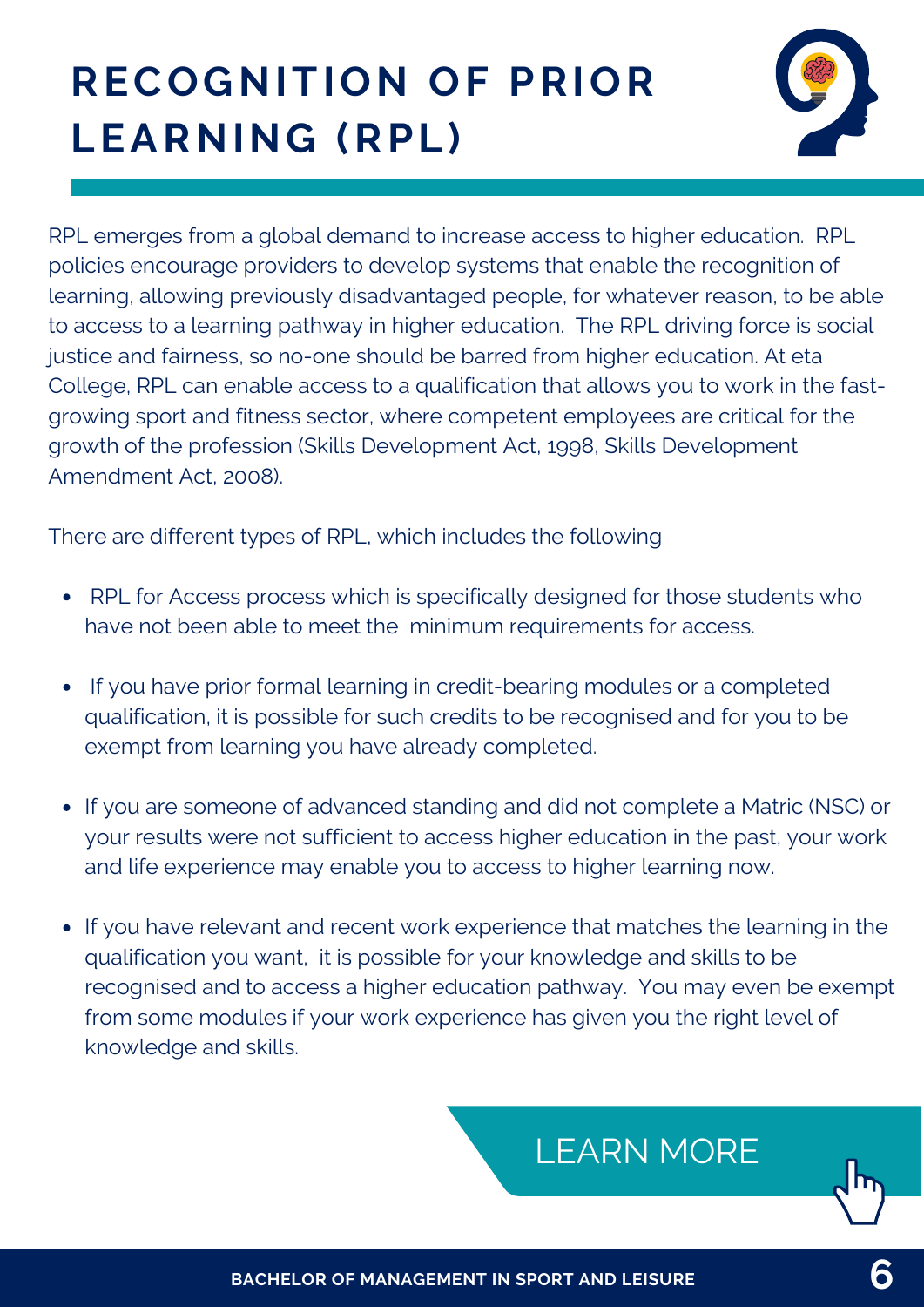# **RECOGNITION OF PRIOR LEARNING (RPL)**



RPL emerges from a global demand to increase access to higher education. RPL policies encourage providers to develop systems that enable the recognition of learning, allowing previously disadvantaged people, for whatever reason, to be able to access to a learning pathway in higher education. The RPL driving force is social justice and fairness, so no-one should be barred from higher education. At eta College, RPL can enable access to a qualification that allows you to work in the fastgrowing sport and fitness sector, where competent employees are critical for the growth of the profession (Skills Development Act, 1998, Skills Development Amendment Act, 2008).

There are different types of RPL, which includes the following

- RPL for Access process which is specifically designed for those students who have not been able to meet the minimum requirements for access.
- If you have prior formal learning in credit-bearing modules or a completed qualification, it is possible for such credits to be recognised and for you to be exempt from learning you have already completed.
- If you are someone of advanced standing and did not complete a Matric (NSC) or your results were not sufficient to access higher education in the past, your work and life experience may enable you to access to higher learning now.
- If you have relevant and recent work experience that matches the learning in the qualification you want, it is possible for your knowledge and skills to be recognised and to access a higher education pathway. You may even be exempt from some modules if your work experience has given you the right level of knowledge and skills.

### [LEARN](https://www.etacollege.com/educational-pathways/recognition-of-previous-education/) MORE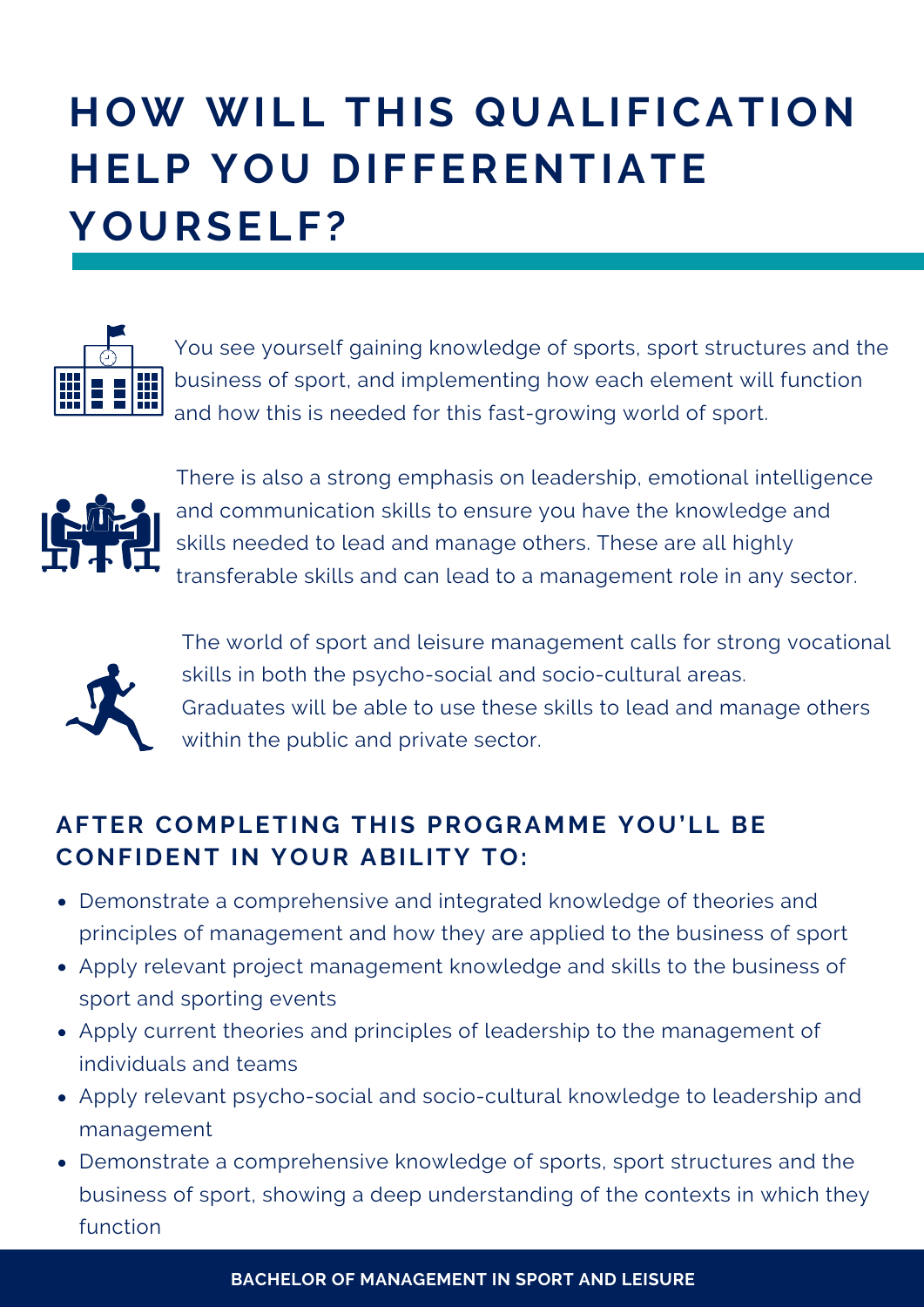# **HOW WILL THIS QUALIFICATION HELP YOU DIFFERENTIATE YOURSELF?**



You see yourself gaining knowledge of sports, sport structures and the business of sport, and implementing how each element will function and how this is needed for this fast-growing world of sport.



There is also a strong emphasis on leadership, emotional intelligence and communication skills to ensure you have the knowledge and skills needed to lead and manage others. These are all highly transferable skills and can lead to a management role in any sector.



The world of sport and leisure management calls for strong vocational skills in both the psycho-social and socio-cultural areas. Graduates will be able to use these skills to lead and manage others within the public and private sector.

#### **AFTER COMPLETING THIS PROGRAMME YOU'LL BE CONFIDENT IN YOUR ABILITY TO:**

- Demonstrate a comprehensive and integrated knowledge of theories and principles of management and how they are applied to the business of sport
- Apply relevant project management knowledge and skills to the business of sport and sporting events
- Apply current theories and principles of leadership to the management of individuals and teams
- Apply relevant psycho-social and socio-cultural knowledge to leadership and management
- Demonstrate a comprehensive knowledge of sports, sport structures and the business of sport, showing a deep understanding of the contexts in which they function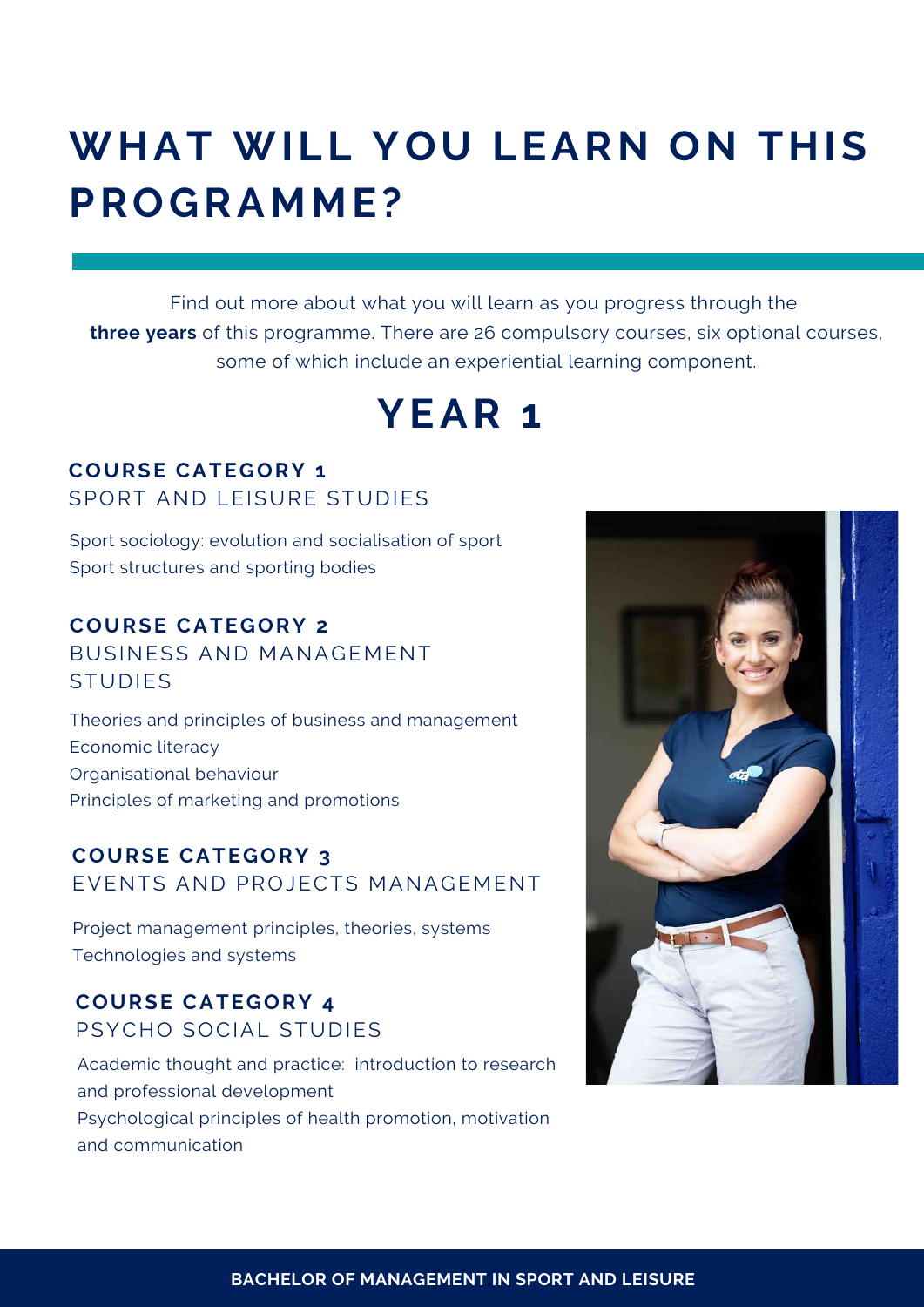### **WHAT WILL YOU LEARN ON THIS PROGRAMME?**

Find out more about what you will learn as you progress through the **three years** of this programme. There are 26 compulsory courses, six optional courses, some of which include an experiential learning component.

### **YEAR 1**

#### **COURSE CATEGORY 1** SPORT AND LEISURE STUDIES

Sport sociology: evolution and socialisation of sport Sport structures and sporting bodies

#### **COURSE CATEGORY 2**

BUSINESS AND MANAGEMENT **STUDIES** 

Theories and principles of business and management Economic literacy Organisational behaviour Principles of marketing and promotions

#### **COURSE CATEGORY 3** EVENTS AND PROJECTS MANAGEMENT

Project management principles, theories, systems Technologies and systems

#### **COURSE CATEGORY 4** PSYCHO SOCIAL STUDIES

Academic thought and practice: introduction to research and professional development Psychological principles of health promotion, motivation and communication

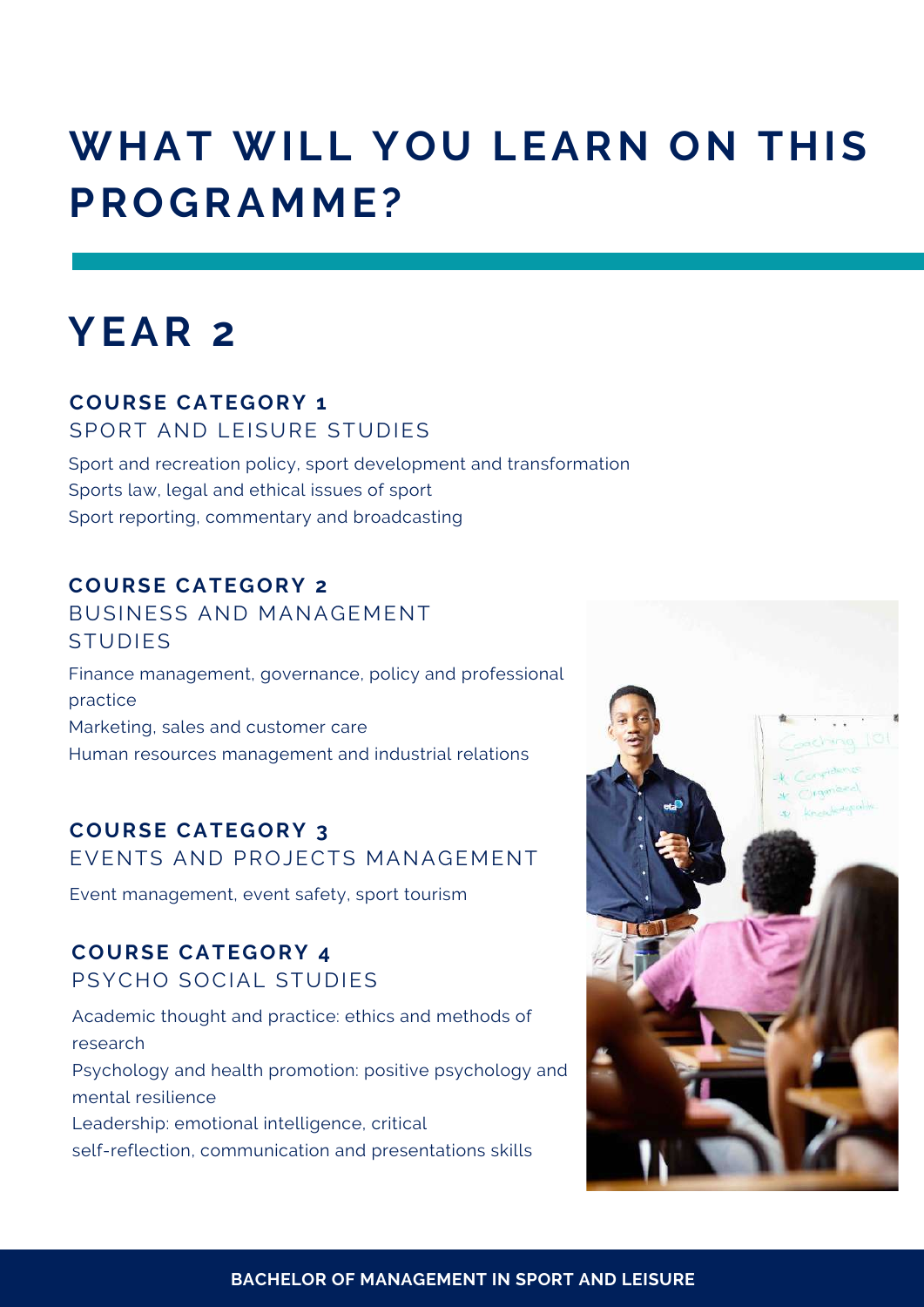### **WHAT WILL YOU LEARN ON THIS PROGRAMME?**

### **YEAR 2**

#### **COURSE CATEGORY 1**

SPORT AND LEISURE STUDIES

Sport and recreation policy, sport development and transformation Sports law, legal and ethical issues of sport Sport reporting, commentary and broadcasting

#### **COURSE CATEGORY 2**

#### BUSINESS AND MANAGEMENT STUDIES

Finance management, governance, policy and professional practice Marketing, sales and customer care Human resources management and industrial relations

#### **COURSE CATEGORY 3**

EVENTS AND PROJECTS MANAGEMENT

Event management, event safety, sport tourism

#### **COURSE CATEGORY 4** PSYCHO SOCIAL STUDIES

Academic thought and practice: ethics and methods of research Psychology and health promotion: positive psychology and mental resilience Leadership: emotional intelligence, critical self-reflection, communication and presentations skills

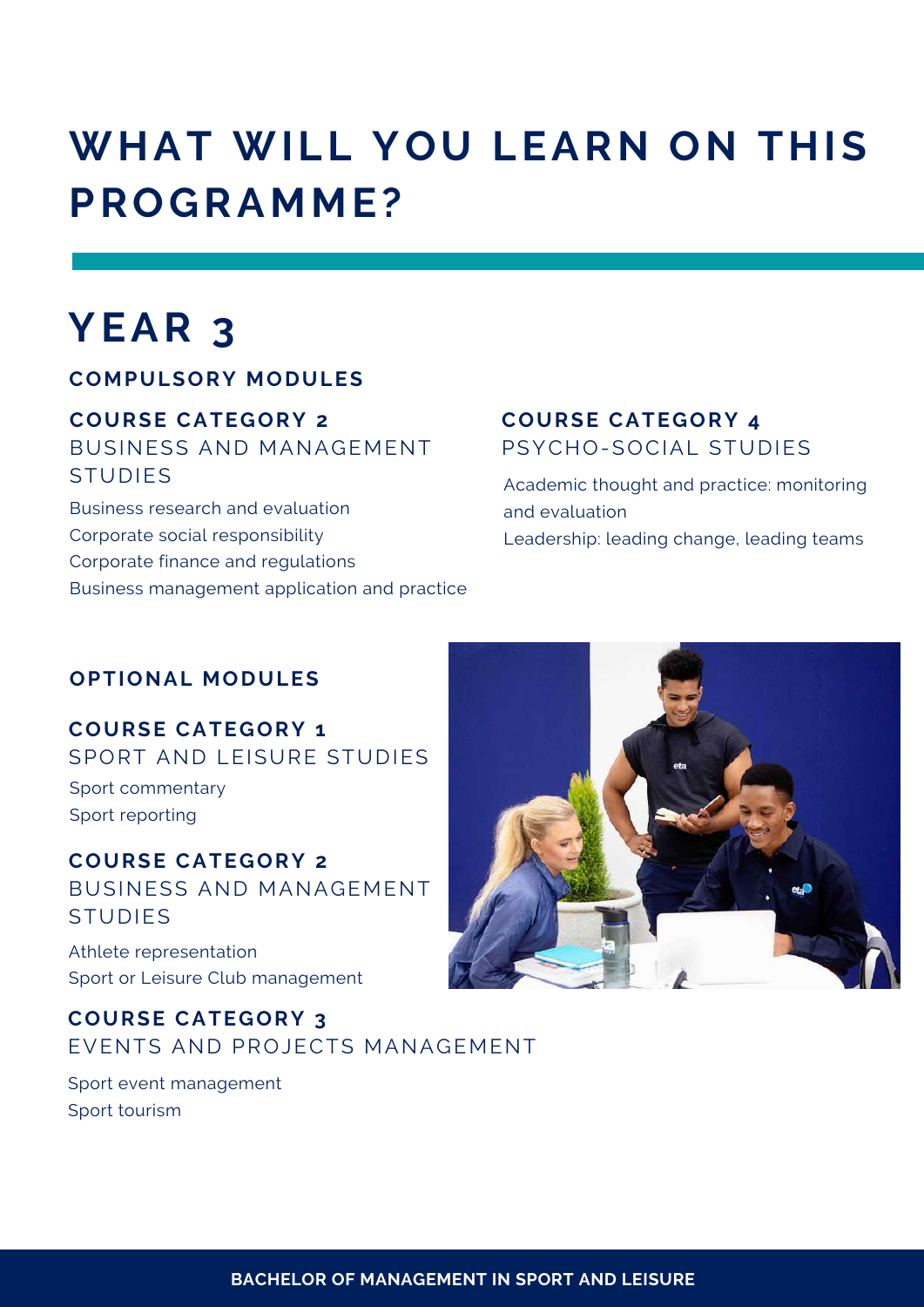### **WHAT WILL YOU LEARN ON THIS PROGRAMME?**

### **YEAR 3**

#### **COMPULSORY MODULES**

#### **COURSE CATEGORY 2**

BUSINESS AND MANAGEMENT **STUDIES** 

Business research and evaluation Corporate social responsibility Corporate finance and regulations Business management application and practice

#### **COURSE CATEGORY 4** PSYCHO-SOCIAL STUDIES

Academic thought and practice: monitoring and evaluation Leadership: leading change, leading teams

#### **OPTIONAL MODULES**

**COURSE CATEGORY 1** SPORT AND LEISURE STUDIES Sport commentary Sport reporting

**COURSE CATEGORY 2** BUSINESS AND MANAGEMENT STUDIES

Athlete representation Sport or Leisure Club management

#### **COURSE CATEGORY 3** EVENTS AND PROJECTS MANAGEMENT

Sport event management Sport tourism

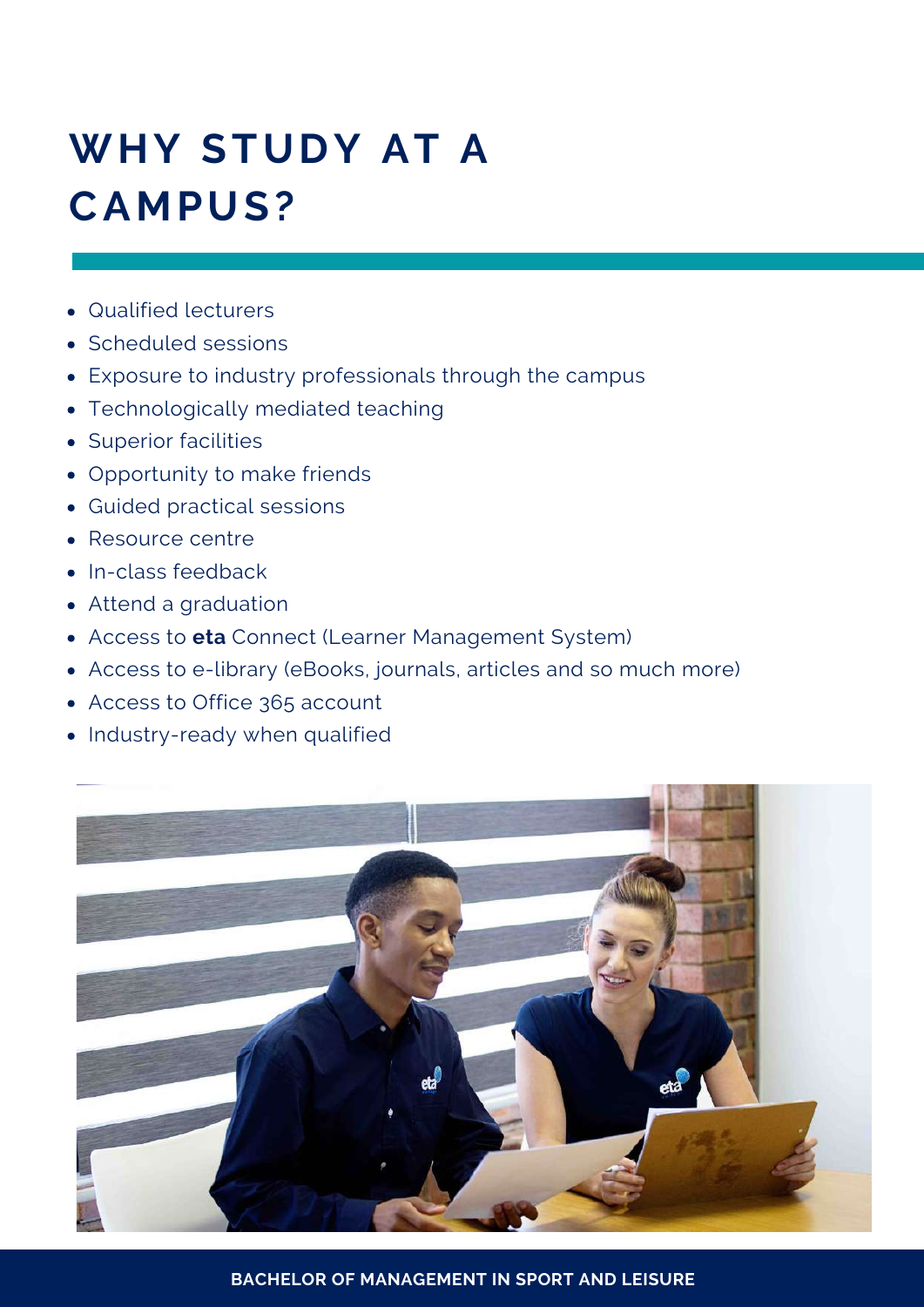# **WHY STUDY AT A CAMPUS?**

- Qualified lecturers
- Scheduled sessions
- Exposure to industry professionals through the campus
- Technologically mediated teaching
- Superior facilities
- Opportunity to make friends
- Guided practical sessions
- Resource centre
- In-class feedback
- Attend a graduation
- Access to **eta** Connect (Learner Management System)
- Access to e-library (eBooks, journals, articles and so much more)
- Access to Office 365 account
- Industry-ready when qualified



**BACHELOR OF MANAGEMENT IN SPORT AND LEISURE**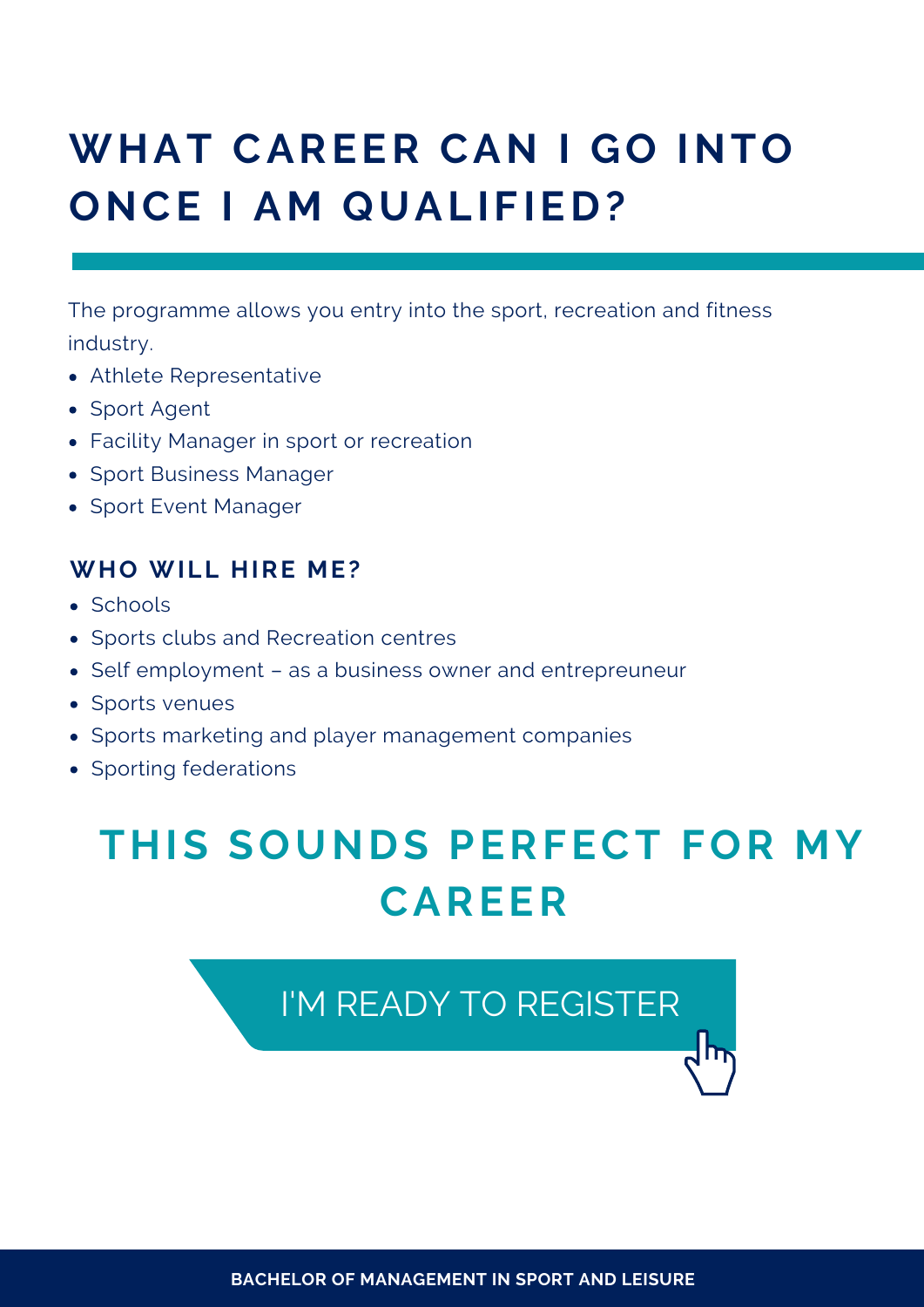## **WHAT CAREER CAN I GO INTO ONCE I AM QUALIFIED?**

The programme allows you entry into the sport, recreation and fitness industry.

- Athlete Representative
- Sport Agent
- Facility Manager in sport or recreation
- Sport Business Manager
- Sport Event Manager

#### **WHO WILL HIRE ME?**

- Schools
- Sports clubs and Recreation centres
- Self employment as a business owner and entrepreuneur
- Sports venues
- Sports marketing and player management companies
- Sporting federations

### **THIS SOUNDS PERFECT FOR MY CAREER**

### I'M READY TO [REGISTER](https://www.etacollege.com/admissions/online-applications/)